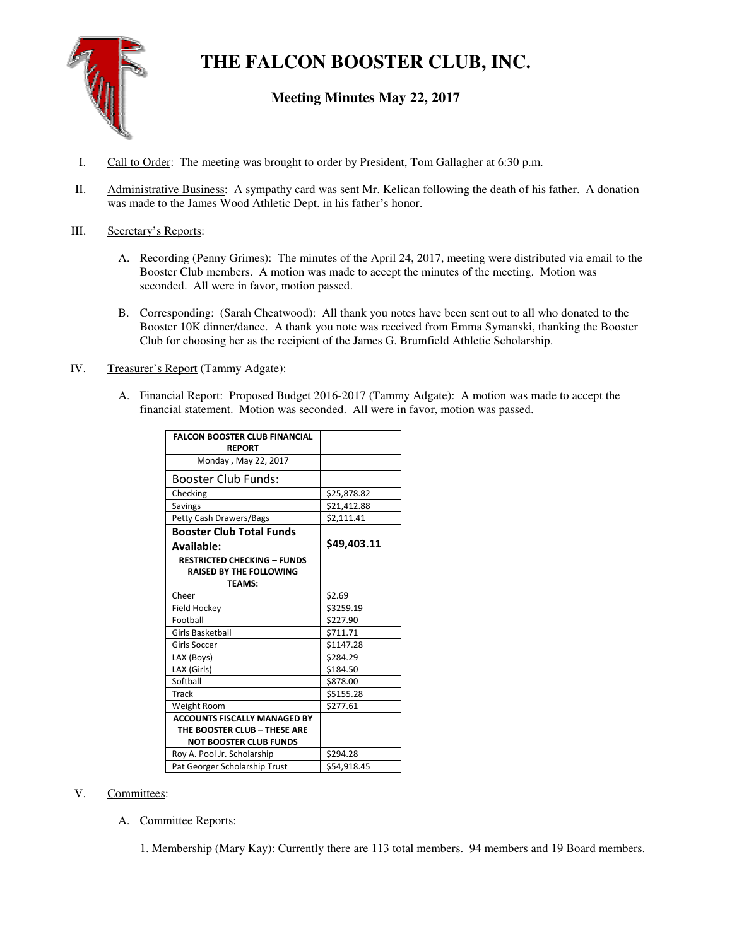

# **THE FALCON BOOSTER CLUB, INC.**

# **Meeting Minutes May 22, 2017**

- I. Call to Order: The meeting was brought to order by President, Tom Gallagher at 6:30 p.m.
- II. Administrative Business: A sympathy card was sent Mr. Kelican following the death of his father. A donation was made to the James Wood Athletic Dept. in his father's honor.

# III. Secretary's Reports:

- A. Recording (Penny Grimes): The minutes of the April 24, 2017, meeting were distributed via email to the Booster Club members. A motion was made to accept the minutes of the meeting. Motion was seconded. All were in favor, motion passed.
- B. Corresponding: (Sarah Cheatwood): All thank you notes have been sent out to all who donated to the Booster 10K dinner/dance. A thank you note was received from Emma Symanski, thanking the Booster Club for choosing her as the recipient of the James G. Brumfield Athletic Scholarship.
- IV. Treasurer's Report (Tammy Adgate):
	- A. Financial Report: Proposed Budget 2016-2017 (Tammy Adgate): A motion was made to accept the financial statement. Motion was seconded. All were in favor, motion was passed.

| <b>FALCON BOOSTER CLUB FINANCIAL</b><br><b>REPORT</b>                                                |             |
|------------------------------------------------------------------------------------------------------|-------------|
| Monday, May 22, 2017                                                                                 |             |
| <b>Booster Club Funds:</b>                                                                           |             |
| Checking                                                                                             | \$25,878.82 |
| Savings                                                                                              | \$21,412.88 |
| Petty Cash Drawers/Bags                                                                              | \$2,111.41  |
| <b>Booster Club Total Funds</b>                                                                      |             |
| Available:                                                                                           | \$49,403.11 |
| <b>RESTRICTED CHECKING - FUNDS</b><br><b>RAISED BY THE FOLLOWING</b><br><b>TEAMS:</b>                |             |
| Cheer                                                                                                | \$2.69      |
| Field Hockey                                                                                         | \$3259.19   |
| Football                                                                                             | \$227.90    |
| <b>Girls Basketball</b>                                                                              | \$711.71    |
| Girls Soccer                                                                                         | \$1147.28   |
| LAX (Boys)                                                                                           | \$284.29    |
| LAX (Girls)                                                                                          | \$184.50    |
| Softball                                                                                             | \$878.00    |
| Track                                                                                                | \$5155.28   |
| Weight Room                                                                                          | \$277.61    |
| <b>ACCOUNTS FISCALLY MANAGED BY</b><br>THE BOOSTER CLUB - THESE ARE<br><b>NOT BOOSTER CLUB FUNDS</b> |             |
| Roy A. Pool Jr. Scholarship                                                                          | \$294.28    |
| Pat Georger Scholarship Trust                                                                        | \$54,918.45 |

# V. Committees:

A. Committee Reports:

1. Membership (Mary Kay): Currently there are 113 total members. 94 members and 19 Board members.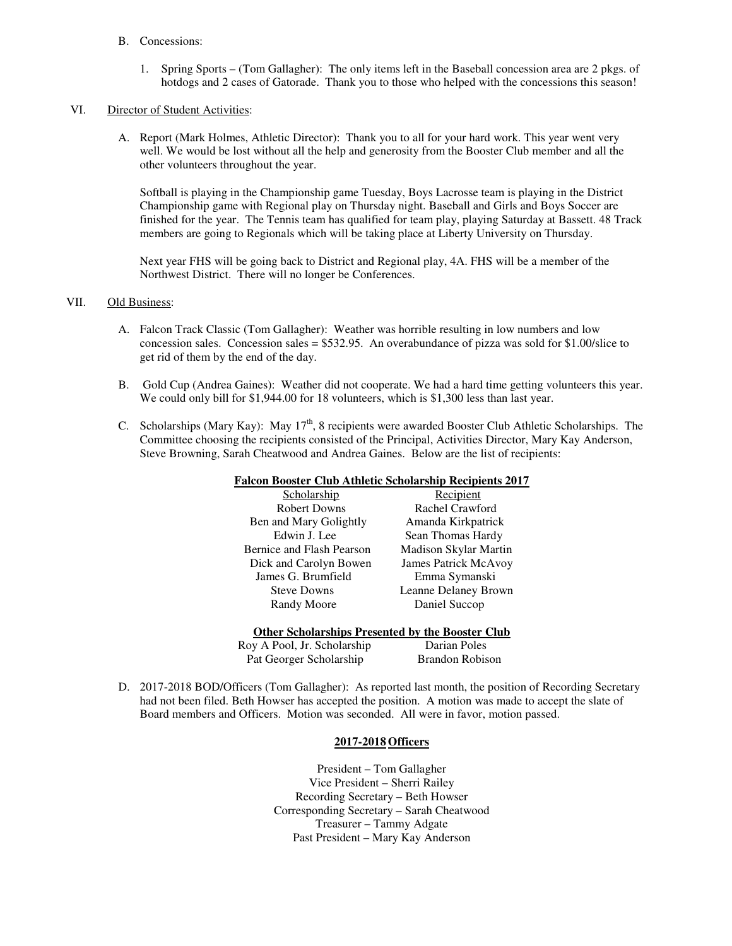#### B. Concessions:

1. Spring Sports – (Tom Gallagher): The only items left in the Baseball concession area are 2 pkgs. of hotdogs and 2 cases of Gatorade. Thank you to those who helped with the concessions this season!

#### VI. Director of Student Activities:

A. Report (Mark Holmes, Athletic Director): Thank you to all for your hard work. This year went very well. We would be lost without all the help and generosity from the Booster Club member and all the other volunteers throughout the year.

Softball is playing in the Championship game Tuesday, Boys Lacrosse team is playing in the District Championship game with Regional play on Thursday night. Baseball and Girls and Boys Soccer are finished for the year. The Tennis team has qualified for team play, playing Saturday at Bassett. 48 Track members are going to Regionals which will be taking place at Liberty University on Thursday.

Next year FHS will be going back to District and Regional play, 4A. FHS will be a member of the Northwest District. There will no longer be Conferences.

#### VII. Old Business:

- A. Falcon Track Classic (Tom Gallagher): Weather was horrible resulting in low numbers and low concession sales. Concession sales = \$532.95. An overabundance of pizza was sold for \$1.00/slice to get rid of them by the end of the day.
- B. Gold Cup (Andrea Gaines): Weather did not cooperate. We had a hard time getting volunteers this year. We could only bill for \$1,944.00 for 18 volunteers, which is \$1,300 less than last year.
- C. Scholarships (Mary Kay): May 17<sup>th</sup>, 8 recipients were awarded Booster Club Athletic Scholarships. The Committee choosing the recipients consisted of the Principal, Activities Director, Mary Kay Anderson, Steve Browning, Sarah Cheatwood and Andrea Gaines. Below are the list of recipients:

| <b>Falcon Booster Club Athletic Scholarship Recipients 2017</b> |  |
|-----------------------------------------------------------------|--|
|                                                                 |  |

| Scholarship               |       |
|---------------------------|-------|
| <b>Robert Downs</b>       | Ra    |
| Ben and Mary Golightly    | Ama   |
| Edwin J. Lee              | Sean  |
| Bernice and Flash Pearson | Madis |
| Dick and Carolyn Bowen    | James |
| James G. Brumfield        | Em    |
| <b>Steve Downs</b>        | Leann |
| <b>Randy Moore</b>        | Dа    |
|                           |       |

Recipient chel Crawford nda Kirkpatrick Thomas Hardy son Skylar Martin Boatrick McAvoy  $ima$  Symanski e Delaney Brown niel Succop

#### **Other Scholarships Presented by the Booster Club**

Roy A Pool, Jr. Scholarship Darian Poles Pat Georger Scholarship Brandon Robison

D. 2017-2018 BOD/Officers (Tom Gallagher): As reported last month, the position of Recording Secretary had not been filed. Beth Howser has accepted the position. A motion was made to accept the slate of

# Board members and Officers. Motion was seconded. All were in favor, motion passed.

# **2017-2018 Officers**

President – Tom Gallagher Vice President – Sherri Railey Recording Secretary – Beth Howser Corresponding Secretary – Sarah Cheatwood Treasurer – Tammy Adgate Past President – Mary Kay Anderson